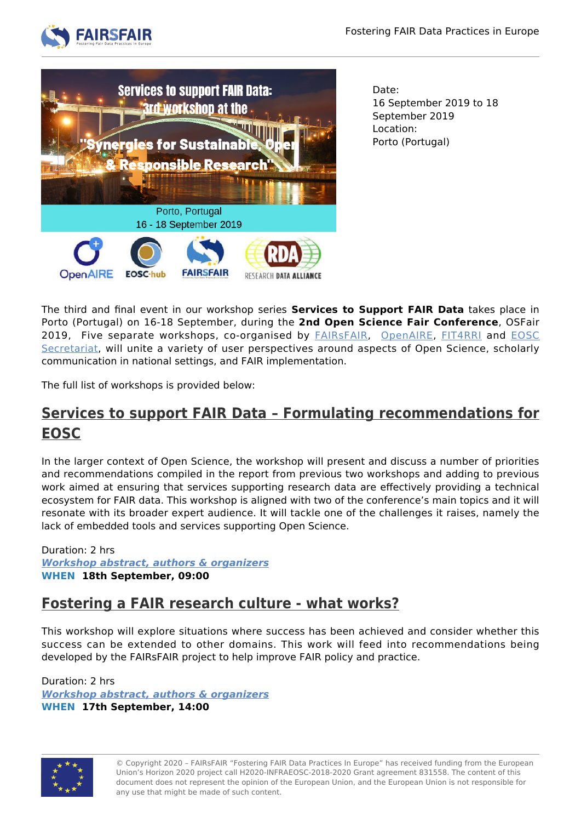



Date: 16 September 2019 to 18 September 2019 Location: Porto (Portugal)

The third and final event in our workshop series **Services to Support FAIR Data** takes place in Porto (Portugal) on 16-18 September, during the **2nd Open Science Fair Conference**, OSFair 2019, Five separate workshops, co-organised by **FAIRSFAIR**, [OpenAIRE,](http://opensciencefair.eu/) [FIT4RRI](https://fit4rri.eu/) and **[EOSC](https://www.eoscsecretariat.eu/)** [Secretariat,](https://www.eoscsecretariat.eu/) will unite a variety of user perspectives around aspects of Open Science, scholarly communication in national settings, and FAIR implementation.

The full list of workshops is provided below:

## **[Services to support FAIR Data – Formulating recommendations for](https://www.opensciencefair.eu/workshops-2019/services-to-support-fair-data-formulating-recommendations-for-eosc) [EOSC](https://www.opensciencefair.eu/workshops-2019/services-to-support-fair-data-formulating-recommendations-for-eosc)**

In the larger context of Open Science, the workshop will present and discuss a number of priorities and recommendations compiled in the report from previous two workshops and adding to previous work aimed at ensuring that services supporting research data are effectively providing a technical ecosystem for FAIR data. This workshop is aligned with two of the conference's main topics and it will resonate with its broader expert audience. It will tackle one of the challenges it raises, namely the lack of embedded tools and services supporting Open Science.

Duration: 2 hrs *[Workshop abstract, authors & organizers](https://www.opensciencefair.eu/workshops-2019/services-to-support-fair-data-formulating-recommendations-for-eosc)* **WHEN 18th September, 09:00**

## **[Fostering a FAIR research culture - what works?](https://www.opensciencefair.eu/workshops-2019/fostering-a-fair-research-culture-what-works)**

This workshop will explore situations where success has been achieved and consider whether this success can be extended to other domains. This work will feed into recommendations being developed by the FAIRsFAIR project to help improve FAIR policy and practice.

Duration: 2 hrs *[Workshop abstract, authors & organizers](https://www.opensciencefair.eu/workshops-2019/fostering-a-fair-research-culture-what-works)* **WHEN 17th September, 14:00**